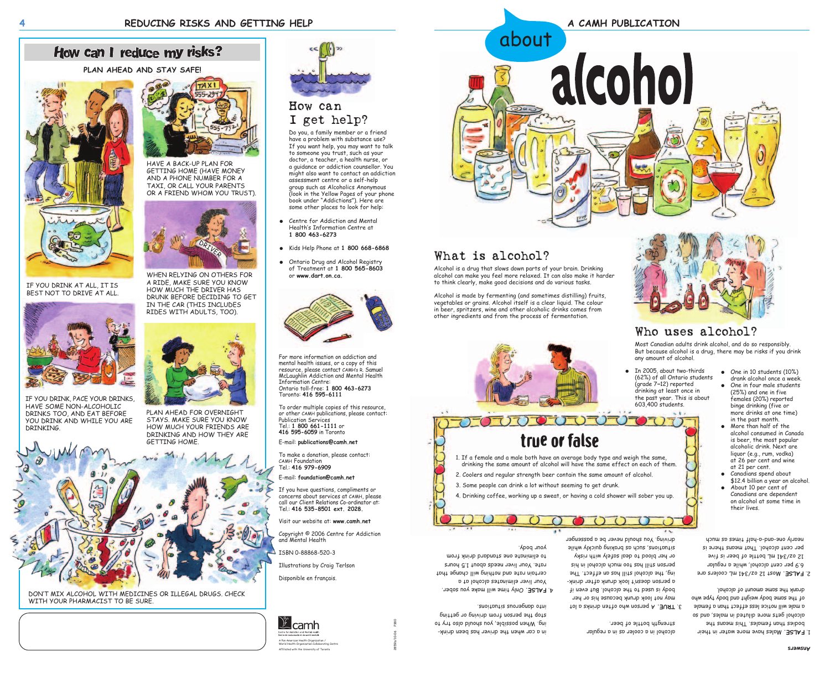# How can I reduce my risks?

For more information on addiction and mental health issues, or a copy of this resource, please contact CAMHís R. Samuel McLaughlin Addiction and Mental Health Information Centre: Ontario toll-free: **1 800 463-6273** Toronto: **416 595-6111**

To make a donation, please contact: CAMH Foundation Tel.: **416 979-6909** 

To order multiple copies of this resource, or other CAMH publications, please contact: Publication Services Tel.: **1 800 661-1111** or **416 595-6059** in Toronto E-mail: **publications@camh.net**

E-mail: **foundation@camh.net**

If you have questions, compliments or concerns about services at CAMH, please call our Client Relations Co-ordinator at: Tel.: **416 535-8501 ext. 2028.**

Visit our website at: **www.camh.net**

Copyright © 2006 Centre for Addiction and Mental Health

ISBN 0-88868-520-3

Illustrations by Craig Terlson

Disponible en français.



2859b/10-06 P380

#### How can I get help?

Do you, a family member or a friend have a problem with substance use? If you want help, you may want to talk to someone you trust, such as your doctor, a teacher, a health nurse, or a guidance or addiction counsellor. You might also want to contact an addiction assessment centre or a self-help group such as Alcoholics Anonymous (look in the Yellow Pages of your phone book under "Addictions"). Here are some other places to look for help:

- Centre for Addiction and Mental Healthís Information Centre at **1 800 463-6273**
- Kids Help Phone at **1 800 668-6868**
- Ontario Drug and Alcohol Registry of Treatment at **1 800 565-8603**  or **www.dart.on.ca.**



# What is alcohol?



WHEN RELYING ON OTHERS FOR A RIDE, MAKE SURE YOU KNOW HOW MUCH THE DRIVER HAS DRUNK BEFORE DECIDING TO GET IN THE CAR (THIS INCLUDES RIDES WITH ADULTS, TOO).

Only time will make you sober. **FALSE.** 4. Your liver eliminates alcohol at a certain rate and nothing will change that rate. Your liver needs about 1.5 hours mont *Aninb* bubbnote ano stanimils ot

Alcohol is a drug that slows down parts of your brain. Drinking alcohol can make you feel more relaxed. It can also make it harder to think clearly, make good decisions and do various tasks.

Alcohol is made by fermenting (and sometimes distilling) fruits, vegetables or grains. Alcohol itself is a clear liquid. The colour in beer, spritzers, wine and other alcoholic drinks comes from other ingredients and from the process of fermentation.

# Who uses alcohol?

Most Canadian adults drink alcohol, and do so responsibly.

But because alcohol is a drug, there may be risks if you drink

any amount of alcohol.

HAVE A BACK-UP PLAN FOR GETTING HOME (HAVE MONEY AND A PHONE NUMBER FOR A TAXI, OR CALL YOUR PARENTS OR A FRIEND WHOM YOU TRUST).

DONíT MIX ALCOHOL WITH MEDICINES OR ILLEGAL DRUGS. CHECK WITH YOUR PHARMACIST TO BE SURE





IF YOU DRINK AT ALL, IT IS BEST NOT TO DRIVE AT ALL.

#### **Answers**

alcohol in a cooler as in a regular

1ol a shoinb natto onw noenaq A .3U9T.E may not look drunk because his or her body is used to the alcohol. But even if a person doesnít look drunk after drinking, the alcohol still has an effect. The person still has too much alcohol in his or her blood to deal safely with risky slidw ylxbiup prixhond ap douckly while driving. You should never be a passenger as

strength bottle of beer.

- Males have more water in their **FALSE.** 1. bodies than females. This means the alcohol gets more diluted in males, and so a male will notice less effect than a female of the same body weight and body type who
- drank the same amount of alcohol.
- Most 12 oz/341 mL coolers are **FALSE.** 2. 6.9 per cent alcohol, while a regular 12 oz/341 mL bottle of beer is five per cent alcohol. That means there is
- 
- nearly one-and-a-half times as much on alcohol at some time in their lives.
- liquor (e.g., rum, vodka) at 26 per cent and wine at 21 per cent. ● Canadians spend about \$12.4 billion a year on alcohol. ● About 10 per cent of

in a car when the driver has been drinking. When possible, you should also the vertex stop the person from driving or getting

into dangerous situations.

yood uno k

● In 2005, about two-thirds (62%) of all Ontario students (grade  $7-12$ ) reported drinking at least once in the past year. This is about 603,400 students.









true or false





- binge drinking (five or more drinks at one time) in the past month. ● More than half of the alcohol consumed in Canada is beer, the most popular alcoholic drink. Next are
- One in four male students (25%) and one in five females (20%) reported
- One in 10 students (10%) drank alcohol once a week.
- 
- 

Canadians are dependent





PLAN AHEAD FOR OVERNIGHT STAYS. MAKE SURE YOU KNOW HOW MUCH YOUR FRIENDS ARE DRINKING AND HOW THEY ARE GETTING HOME.



**PLAN AHEAD AND STAY SAFE!**



IF YOU DRINK, PACE YOUR DRINKS, HAVE SOME NON-ALCOHOLIC DRINKS TOO, AND EAT BEFORE YOU DRINK AND WHILE YOU ARE DRINKING.



A Pan American Health Organization / World Health Organization Collaborating Centre Affiliated with the University of Toronto

about